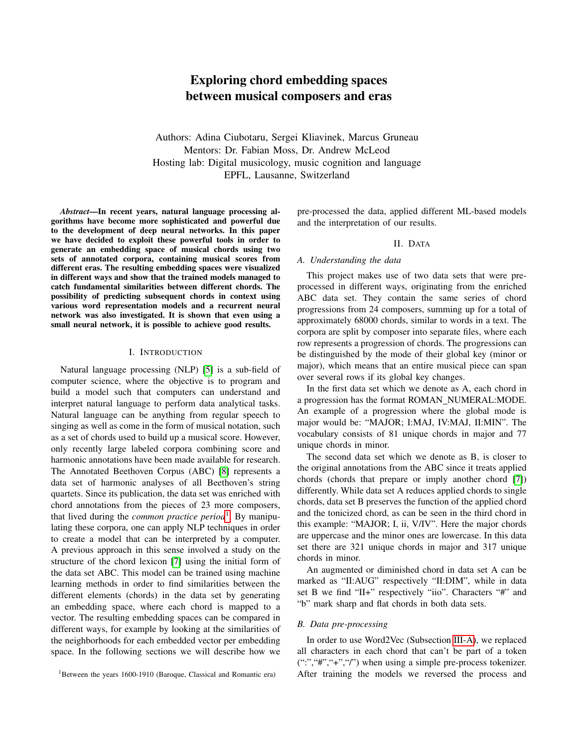# Exploring chord embedding spaces between musical composers and eras

Authors: Adina Ciubotaru, Sergei Kliavinek, Marcus Gruneau Mentors: Dr. Fabian Moss, Dr. Andrew McLeod Hosting lab: Digital musicology, music cognition and language EPFL, Lausanne, Switzerland

*Abstract*—In recent years, natural language processing algorithms have become more sophisticated and powerful due to the development of deep neural networks. In this paper we have decided to exploit these powerful tools in order to generate an embedding space of musical chords using two sets of annotated corpora, containing musical scores from different eras. The resulting embedding spaces were visualized in different ways and show that the trained models managed to catch fundamental similarities between different chords. The possibility of predicting subsequent chords in context using various word representation models and a recurrent neural network was also investigated. It is shown that even using a small neural network, it is possible to achieve good results.

#### I. INTRODUCTION

Natural language processing (NLP) [\[5\]](#page-4-0) is a sub-field of computer science, where the objective is to program and build a model such that computers can understand and interpret natural language to perform data analytical tasks. Natural language can be anything from regular speech to singing as well as come in the form of musical notation, such as a set of chords used to build up a musical score. However, only recently large labeled corpora combining score and harmonic annotations have been made available for research. The Annotated Beethoven Corpus (ABC) [\[8\]](#page-4-1) represents a data set of harmonic analyses of all Beethoven's string quartets. Since its publication, the data set was enriched with chord annotations from the pieces of 23 more composers, that lived during the *common practice period*[1](#page-0-0) . By manipulating these corpora, one can apply NLP techniques in order to create a model that can be interpreted by a computer. A previous approach in this sense involved a study on the structure of the chord lexicon [\[7\]](#page-4-2) using the initial form of the data set ABC. This model can be trained using machine learning methods in order to find similarities between the different elements (chords) in the data set by generating an embedding space, where each chord is mapped to a vector. The resulting embedding spaces can be compared in different ways, for example by looking at the similarities of the neighborhoods for each embedded vector per embedding space. In the following sections we will describe how we pre-processed the data, applied different ML-based models and the interpretation of our results.

#### II. DATA

## *A. Understanding the data*

This project makes use of two data sets that were preprocessed in different ways, originating from the enriched ABC data set. They contain the same series of chord progressions from 24 composers, summing up for a total of approximately 68000 chords, similar to words in a text. The corpora are split by composer into separate files, where each row represents a progression of chords. The progressions can be distinguished by the mode of their global key (minor or major), which means that an entire musical piece can span over several rows if its global key changes.

In the first data set which we denote as A, each chord in a progression has the format ROMAN\_NUMERAL:MODE. An example of a progression where the global mode is major would be: "MAJOR; I:MAJ, IV:MAJ, II:MIN". The vocabulary consists of 81 unique chords in major and 77 unique chords in minor.

The second data set which we denote as B, is closer to the original annotations from the ABC since it treats applied chords (chords that prepare or imply another chord [\[7\]](#page-4-2)) differently. While data set A reduces applied chords to single chords, data set B preserves the function of the applied chord and the tonicized chord, as can be seen in the third chord in this example: "MAJOR; I, ii, V/IV". Here the major chords are uppercase and the minor ones are lowercase. In this data set there are 321 unique chords in major and 317 unique chords in minor.

An augmented or diminished chord in data set A can be marked as "II:AUG" respectively "II:DIM", while in data set B we find "II+" respectively "iio". Characters "#" and "b" mark sharp and flat chords in both data sets.

#### <span id="page-0-1"></span>*B. Data pre-processing*

In order to use Word2Vec (Subsection [III-A\)](#page-1-0), we replaced all characters in each chord that can't be part of a token  $(":", "#", "+", "/")$  when using a simple pre-process tokenizer. After training the models we reversed the process and

<span id="page-0-0"></span><sup>&</sup>lt;sup>1</sup>Between the years 1600-1910 (Baroque, Classical and Romantic era)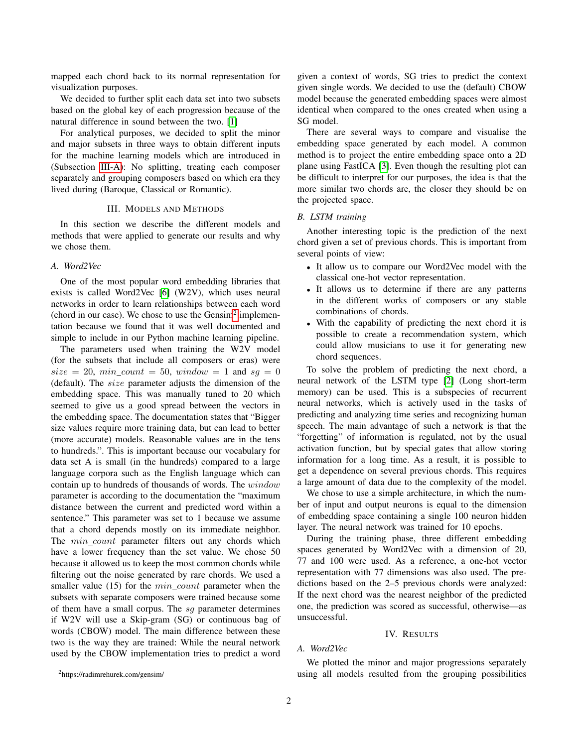mapped each chord back to its normal representation for visualization purposes.

We decided to further split each data set into two subsets based on the global key of each progression because of the natural difference in sound between the two. [\[1\]](#page-4-3)

For analytical purposes, we decided to split the minor and major subsets in three ways to obtain different inputs for the machine learning models which are introduced in (Subsection [III-A\)](#page-1-0): No splitting, treating each composer separately and grouping composers based on which era they lived during (Baroque, Classical or Romantic).

# III. MODELS AND METHODS

In this section we describe the different models and methods that were applied to generate our results and why we chose them.

# <span id="page-1-0"></span>*A. Word2Vec*

One of the most popular word embedding libraries that exists is called Word2Vec [\[6\]](#page-4-4) (W2V), which uses neural networks in order to learn relationships between each word (chord in our case). We chose to use the  $Gensim<sup>2</sup>$  $Gensim<sup>2</sup>$  $Gensim<sup>2</sup>$  implementation because we found that it was well documented and simple to include in our Python machine learning pipeline.

The parameters used when training the W2V model (for the subsets that include all composers or eras) were  $size = 20, min\_count = 50, window = 1$  and  $sg = 0$ (default). The size parameter adjusts the dimension of the embedding space. This was manually tuned to 20 which seemed to give us a good spread between the vectors in the embedding space. The documentation states that "Bigger size values require more training data, but can lead to better (more accurate) models. Reasonable values are in the tens to hundreds.". This is important because our vocabulary for data set A is small (in the hundreds) compared to a large language corpora such as the English language which can contain up to hundreds of thousands of words. The window parameter is according to the documentation the "maximum distance between the current and predicted word within a sentence." This parameter was set to 1 because we assume that a chord depends mostly on its immediate neighbor. The *min count* parameter filters out any chords which have a lower frequency than the set value. We chose 50 because it allowed us to keep the most common chords while filtering out the noise generated by rare chords. We used a smaller value  $(15)$  for the  $min\_count$  parameter when the subsets with separate composers were trained because some of them have a small corpus. The sg parameter determines if W2V will use a Skip-gram (SG) or continuous bag of words (CBOW) model. The main difference between these two is the way they are trained: While the neural network used by the CBOW implementation tries to predict a word given a context of words, SG tries to predict the context given single words. We decided to use the (default) CBOW model because the generated embedding spaces were almost identical when compared to the ones created when using a SG model.

There are several ways to compare and visualise the embedding space generated by each model. A common method is to project the entire embedding space onto a 2D plane using FastICA [\[3\]](#page-4-5). Even though the resulting plot can be difficult to interpret for our purposes, the idea is that the more similar two chords are, the closer they should be on the projected space.

# *B. LSTM training*

Another interesting topic is the prediction of the next chord given a set of previous chords. This is important from several points of view:

- It allow us to compare our Word2Vec model with the classical one-hot vector representation.
- It allows us to determine if there are any patterns in the different works of composers or any stable combinations of chords.
- With the capability of predicting the next chord it is possible to create a recommendation system, which could allow musicians to use it for generating new chord sequences.

To solve the problem of predicting the next chord, a neural network of the LSTM type [\[2\]](#page-4-6) (Long short-term memory) can be used. This is a subspecies of recurrent neural networks, which is actively used in the tasks of predicting and analyzing time series and recognizing human speech. The main advantage of such a network is that the "forgetting" of information is regulated, not by the usual activation function, but by special gates that allow storing information for a long time. As a result, it is possible to get a dependence on several previous chords. This requires a large amount of data due to the complexity of the model.

We chose to use a simple architecture, in which the number of input and output neurons is equal to the dimension of embedding space containing a single 100 neuron hidden layer. The neural network was trained for 10 epochs.

During the training phase, three different embedding spaces generated by Word2Vec with a dimension of 20, 77 and 100 were used. As a reference, a one-hot vector representation with 77 dimensions was also used. The predictions based on the 2–5 previous chords were analyzed: If the next chord was the nearest neighbor of the predicted one, the prediction was scored as successful, otherwise—as unsuccessful.

#### IV. RESULTS

## *A. Word2Vec*

We plotted the minor and major progressions separately using all models resulted from the grouping possibilities

<span id="page-1-1"></span><sup>2</sup>https://radimrehurek.com/gensim/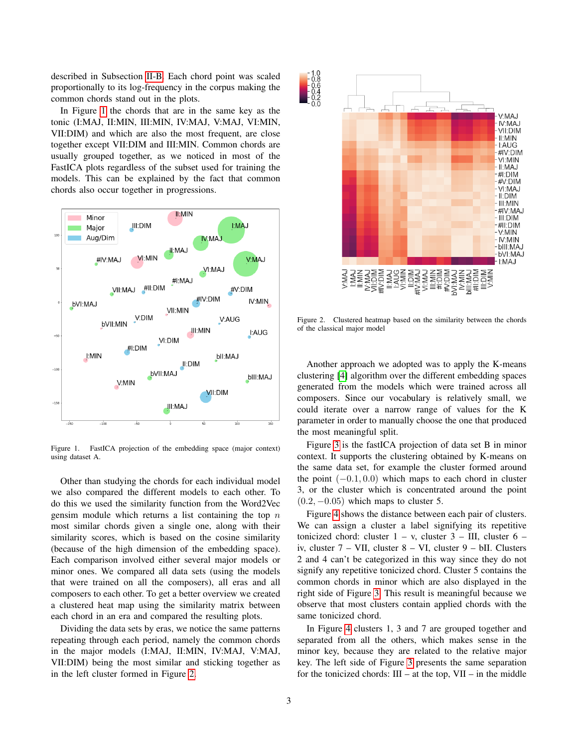described in Subsection [II-B.](#page-0-1) Each chord point was scaled proportionally to its log-frequency in the corpus making the common chords stand out in the plots.

In Figure [1](#page-2-0) the chords that are in the same key as the tonic (I:MAJ, II:MIN, III:MIN, IV:MAJ, V:MAJ, VI:MIN, VII:DIM) and which are also the most frequent, are close together except VII:DIM and III:MIN. Common chords are usually grouped together, as we noticed in most of the FastICA plots regardless of the subset used for training the models. This can be explained by the fact that common chords also occur together in progressions.



<span id="page-2-0"></span>Figure 1. FastICA projection of the embedding space (major context) using dataset A.

Other than studying the chords for each individual model we also compared the different models to each other. To do this we used the similarity function from the Word2Vec gensim module which returns a list containing the top  $n$ most similar chords given a single one, along with their similarity scores, which is based on the cosine similarity (because of the high dimension of the embedding space). Each comparison involved either several major models or minor ones. We compared all data sets (using the models that were trained on all the composers), all eras and all composers to each other. To get a better overview we created a clustered heat map using the similarity matrix between each chord in an era and compared the resulting plots.

Dividing the data sets by eras, we notice the same patterns repeating through each period, namely the common chords in the major models (I:MAJ, II:MIN, IV:MAJ, V:MAJ, VII:DIM) being the most similar and sticking together as in the left cluster formed in Figure [2.](#page-2-1)



<span id="page-2-1"></span>Figure 2. Clustered heatmap based on the similarity between the chords of the classical major model

Another approach we adopted was to apply the K-means clustering [\[4\]](#page-4-7) algorithm over the different embedding spaces generated from the models which were trained across all composers. Since our vocabulary is relatively small, we could iterate over a narrow range of values for the K parameter in order to manually choose the one that produced the most meaningful split.

Figure [3](#page-3-0) is the fastICA projection of data set B in minor context. It supports the clustering obtained by K-means on the same data set, for example the cluster formed around the point  $(-0.1, 0.0)$  which maps to each chord in cluster 3, or the cluster which is concentrated around the point  $(0.2, -0.05)$  which maps to cluster 5.

Figure [4](#page-3-1) shows the distance between each pair of clusters. We can assign a cluster a label signifying its repetitive tonicized chord: cluster  $1 - v$ , cluster  $3 - III$ , cluster  $6$ iv, cluster 7 – VII, cluster 8 – VI, cluster 9 – bII. Clusters 2 and 4 can't be categorized in this way since they do not signify any repetitive tonicized chord. Cluster 5 contains the common chords in minor which are also displayed in the right side of Figure [3.](#page-3-0) This result is meaningful because we observe that most clusters contain applied chords with the same tonicized chord.

In Figure [4](#page-3-1) clusters 1, 3 and 7 are grouped together and separated from all the others, which makes sense in the minor key, because they are related to the relative major key. The left side of Figure [3](#page-3-0) presents the same separation for the tonicized chords:  $III - at$  the top,  $VII - in$  the middle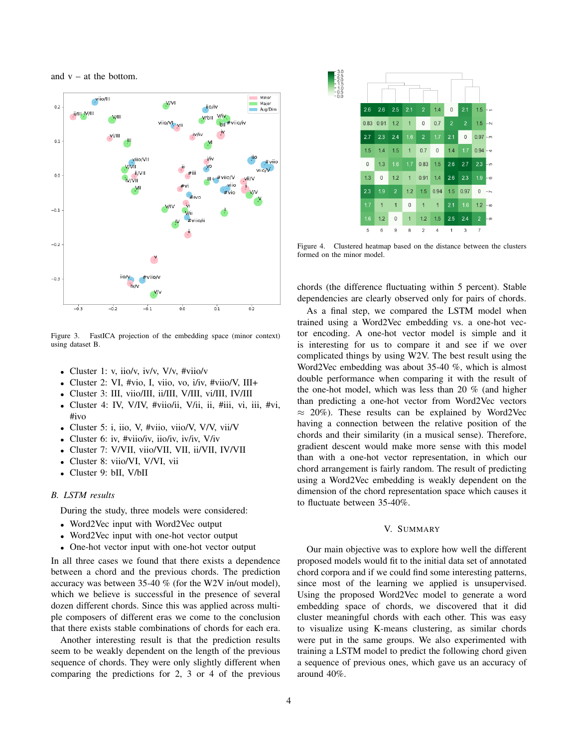and  $v - at$  the bottom.



<span id="page-3-0"></span>Figure 3. FastICA projection of the embedding space (minor context) using dataset B.

- Cluster 1: v, iio/v, iv/v,  $V/v$ ,  $\#$ viio/v
- Cluster 2: VI, #vio, I, viio, vo, i/iv, #viio/V, III+
- Cluster 3: III, viio/III, ii/III, V/III, vi/III, IV/III
- Cluster 4: IV, V/IV, #viio/ii, V/ii, ii, #iii, vi, iii, #vi, #ivo
- Cluster 5: i, iio, V, #viio, viio/V, V/V, vii/V
- Cluster 6: iv, #viio/iv, iio/iv, iv/iv, V/iv
- Cluster 7: V/VII, viio/VII, VII, ii/VII, IV/VII
- Cluster 8: viio/VI, V/VI, vii
- Cluster 9: bII, V/bII

#### *B. LSTM results*

During the study, three models were considered:

- Word2Vec input with Word2Vec output
- Word2Vec input with one-hot vector output
- One-hot vector input with one-hot vector output

In all three cases we found that there exists a dependence between a chord and the previous chords. The prediction accuracy was between 35-40 % (for the W2V in/out model), which we believe is successful in the presence of several dozen different chords. Since this was applied across multiple composers of different eras we come to the conclusion that there exists stable combinations of chords for each era.

Another interesting result is that the prediction results seem to be weakly dependent on the length of the previous sequence of chords. They were only slightly different when comparing the predictions for 2, 3 or 4 of the previous



<span id="page-3-1"></span>Figure 4. Clustered heatmap based on the distance between the clusters formed on the minor model.

chords (the difference fluctuating within 5 percent). Stable dependencies are clearly observed only for pairs of chords.

As a final step, we compared the LSTM model when trained using a Word2Vec embedding vs. a one-hot vector encoding. A one-hot vector model is simple and it is interesting for us to compare it and see if we over complicated things by using W2V. The best result using the Word2Vec embedding was about 35-40 %, which is almost double performance when comparing it with the result of the one-hot model, which was less than 20 % (and higher than predicting a one-hot vector from Word2Vec vectors  $\approx$  20%). These results can be explained by Word2Vec having a connection between the relative position of the chords and their similarity (in a musical sense). Therefore, gradient descent would make more sense with this model than with a one-hot vector representation, in which our chord arrangement is fairly random. The result of predicting using a Word2Vec embedding is weakly dependent on the dimension of the chord representation space which causes it to fluctuate between 35-40%.

### V. SUMMARY

Our main objective was to explore how well the different proposed models would fit to the initial data set of annotated chord corpora and if we could find some interesting patterns, since most of the learning we applied is unsupervised. Using the proposed Word2Vec model to generate a word embedding space of chords, we discovered that it did cluster meaningful chords with each other. This was easy to visualize using K-means clustering, as similar chords were put in the same groups. We also experimented with training a LSTM model to predict the following chord given a sequence of previous ones, which gave us an accuracy of around 40%.